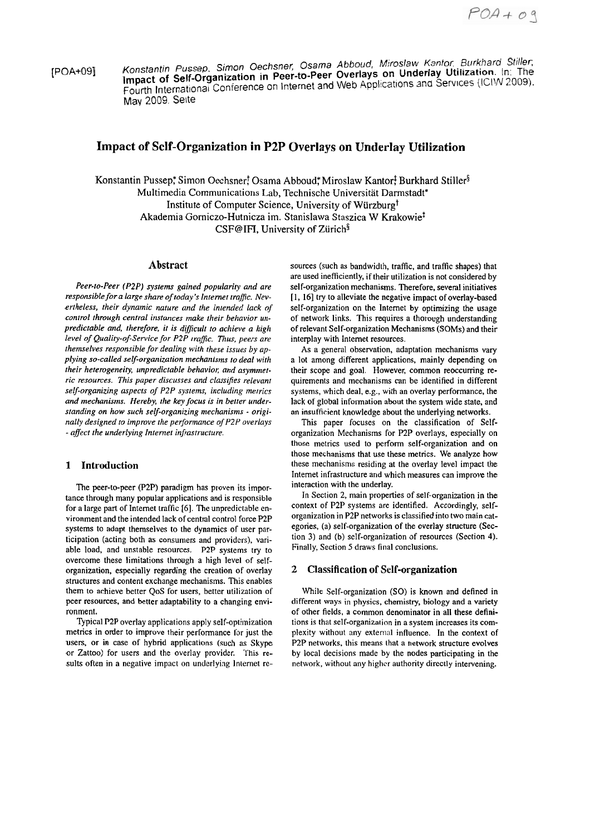[POA+09] Konstantin Pussep. Simon Oechsner, Osama Abboud, Mmoslaw Kantor, Burkhard Stiller, **Impact of Self-Organization in Peer-to-Peer Overlays on Underlay Utilization.** In: The Founh Internationai Conference on lnternet and Web Applcations and Services (ICIiN 2009). May 2009. Seite

# **Impact of Self-Organization in P2P Overlays on Underlay Utilization**

Konstantin Pussep,\* Simon Oechsner! Osama Abboud;\* Miroslaw Kantor! Burkhard Stiller<sup>§</sup> Multimedia Communications Lab, Technische Universität Darmstadt\* Institute of Computer Science, University of Würzburg<sup>t</sup> Akademia Gorniczo-Hutnicza im. Stanislawa Staszica W Krakowie<sup>†</sup> CSF@IFI, University of Zürich $§$ 

#### **Abstract**

*Peer-10-Peer (P2P) systems gained popularity and are*  responsible for a large share of today's Internet traffic. Nev*ertheless, their dynamic nature and the inrended lack of*  control through central instances make their behavior un*predictable and, iherefore, ir is difficuli ro achieve a high level of Qualiry-of-Service for P2P rraffic. Thus, peers are themselves responsible for dealing with these issues by applying so-called seif-organizarion mechanisms to deal with rheir heterogeneity, unpredictable behavior, and asymmet*ric resources. This paper discusses and classifies relevant self-organizing aspects of P2P systems, including metrics *and mechanisms. Hereby,* **rhe** *key focus is in betier under*standing on how such self-organizing mechanisms - origi*nally designed ro improve rhe peflortnance of P2P overlays*  - *affect the underlying Internet infrastructure.* 

# **1 Introduction**

The peer-to-peer (P2P) paradigm has proven its importance through many popular applications and is responsible for a large part of lntemet traffic *[6].* The unpredictable environment and the intended lack of central control force P2P systems to adapt themselves to the dynamics of user participation (acting both as consumers and providers), variable load, and unstable resources. P2P systems try to overcome these Iimitations through a high level of selforganization, especially regarding the creation of overlay structures and content exchange mechanisms. This enables them to achieve better QoS for users, better utilization of Peer resources, and better adaptability to a changing environment.

Typical P2P overlay applications apply self-opliinization metrics in order to improve their performance for just the users, or in case of hybrid applications (such as Skype or Zattoo) for users and the overlay provider. This results often in a negative impact on underlying Iniemet resources (such as bandwidth, traffic, and traffic shapes) that are used inefficiently, if their utilization is not considered by self-organization mechanisms. Therefore, several initiatives [1, 16] try to alleviate the negative impact of overlay-based self-organization on the Intemet by optimizing the usage of network links. This requires a thorough understanding of relevant Self-organization Mechanisms (SOMs) and their interplay with Intemet resources.

As a general observation, adaptation mechanisms vary a lot among different applications, mainly depending on their scope and goal. However, common reoccurring requirements and mechanisms can be identified in different systems, which deal, e.g., with an overlay performance, the lack of global information about the system wide state, and an insufficient knowledge about the underlying networks.

This paper focuses on the classification of Selforganization Mechanisms for P2P overlays, especially on those metrics used to perform self-organization and on those mechanisms that use these metrics. We analyze how these mechanisms residing at the overlay level impact the lntemet infrastmcture and which measures can improve the interaction with the underlay.

In Section **2,** main properties of self-organization in the context of P2P systems are identified. Accordingly, selforganization in P2P networks is classified into two main categories, (a) self-organization of the overlay structure (Section 3) and (b) self-organization of resources (Section 4). Finally, Section 5 draws final conclusions.

#### **2 Classification of Self-organization**

While Self-organization (SO) is known and defined in different ways in physics, chemistry, biology and a variety of other fields, a common denominator in all these definitions is that self-organization in a system increases its complexity without any external influence. In the context of P2P networks, this means that a network structure evolves by local decisions made by the nodes participating in the network, without any highcr authority directly intervening.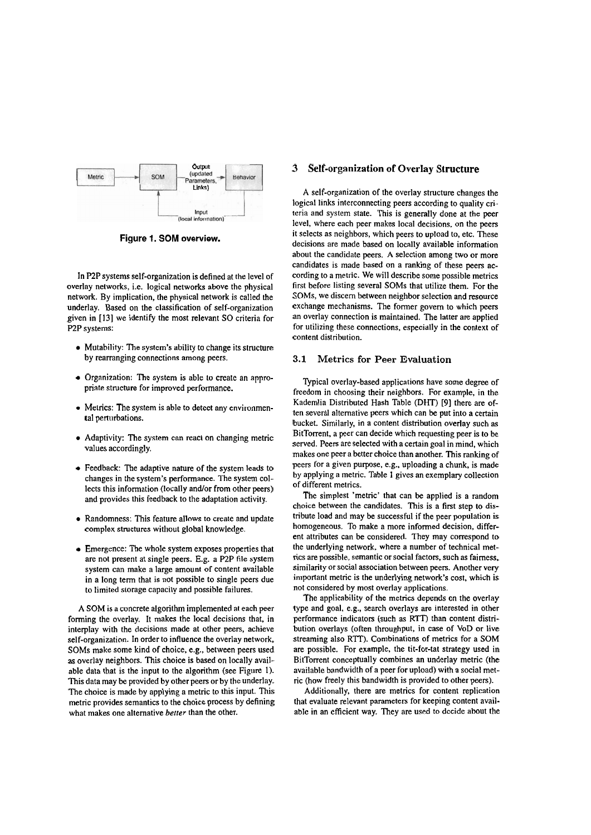

**Figure 1. SOM overview.** 

In P2P systems self-organization is defined at the level of overlay networks, i.e. logical networks above the physical network. By implication, the physical network is called the underlay. Based on the classification of self-organization given in [I31 we identify the most relevant SO criteria for P2P systems:

- Mutability: The system's ability to change its structure by rearranging connections among peers.
- Organization: The system is able to create an appropriate structure for improved performance.
- Metrics: The system is able to detect any environmental perturbations.
- Adaptivity: The system can react on changing metric values accordingly.
- Feedback: The adaptive nature of the system leads to changes in the system's performance. The system collects this information (locally and/or from other peers) and provides this feedback to the adaptation activity.
- Randomness: This feature allows to create and update complex structures without global knowledge.
- Emergence: The whole system exposes properties that are not present at single peers. E.g. a P2P file system system can make a large amount of content available in a long term that is not possible to single peers due to limited storage capacity and possible failures.

**A** SOM is a concrete algorithm implemented at each peer forming the overlay. It makes the local decisions that, in interplay with the decisions made at other peers, achieve self-organization. In order to influence the overlay network, SOMs make some kind of choice, e.g., between peers used as overlay neighbors. This choice is based on locally available data that is the input to the algorithm (see Figure 1). This data may be provided by other peers or by the underlay. The choice is made by applying a metric to this input. This metric provides semantics to the choice process by defining what makes one alternative better than the other.

#### **3 Self-organization of Overlay Structure**

A self-organization of the overlay stmcture changes the logical links interconnecting peers according to quality criteria and system state. This is generally done at the peer level, where each peer makes local decisions, on the peers it selects as neighbors, which peers to upload to, etc. These decisions are made based on locally available information about the candidate peers. A selection among two or more candidates is made based on a ranking of these peers according to a metric. We will descnbe some possible metrics first before listing several SOMs that utilize them. For the SOMs, we discem between neighbor selection and resource exchange mechanisms. The former govem to which peers an overlay connection is maintained. The latter are applied for utilizing these connections, especially in the context of content distribution.

# **3.1 Metrics for Peer Evaluation**

Typical overlay-based applications have some degree of freedom in choosing their neighbors. For example, in the Kademlia Distributed Hash Table **(DHT)** [9] there are often several alternative peers which can **be** put into a certain bucket. Similarly, in a content distribution overlay such as BitTorrent, a peer can decide which requesting peer is to be served. Peers are selected with a certain goal in mind, which makes one peer a better choice than another. This ranking of peers for a given purpose, e.g., uploading a chunk, is made by applying a metric. Table 1 gives an exemplary collection of different metrics.

The simplest 'metric' that can **be** applied is a random choice between the candidates. This is a first step to distribute load and may be successful if the peer population is homogeneous. To make a more informed decision, different attributes can be considered. They may correspond to the underlying network, where a number of technical metrics are possible, semantic or social factors, such as fairness, similarity or social association between peers. Another very important metric is the underlying network's cost, which is not considered by most overlay applications.

The applicability of the metrics depends on the overlay type and goal, e.g., search overlays are interested in other performance indicators (such as RTT) than content distribution overlays (often throughput, in case of VoD or live streaming also RTT). Combinations of metrics for a SOM are possible. For example, the tit-for-tat strategy used in BitTorrent conceptually combines an underlay metric (the available bandwidth of a peer for upload) with a social metric (how freely this bandwidth is provided to other peers).

Additionally, there are metrics for content replication that evaluate relevant parameters for keeping content available in an efficient way. They are used to decide about the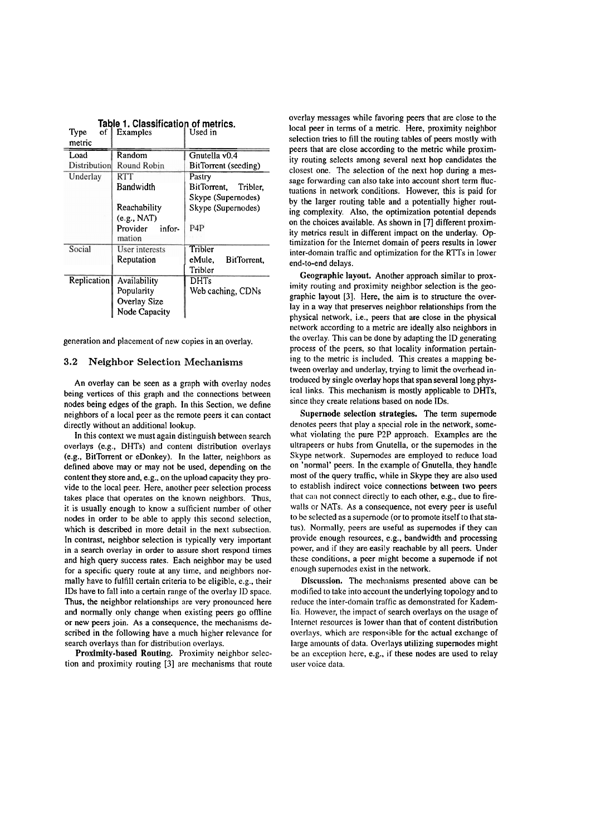| Type<br>of<br>metric | Examples           | Used in                 |  |
|----------------------|--------------------|-------------------------|--|
| Load                 | Random             | Gnutella $\sqrt{0.4}$   |  |
| Distribution         | Round Robin        | BitTorrent (seeding)    |  |
| Underlay             | RTT                | Pastry                  |  |
|                      | Bandwidth          | BitTorrent,<br>Tribler. |  |
|                      |                    | Skype (Supernodes)      |  |
|                      | Reachability       | Skype (Supernodes)      |  |
|                      | (e.g., NAT)        |                         |  |
|                      | Provider<br>infor- | P <sub>4</sub> P        |  |
|                      | mation             |                         |  |
| Social               | User interests     | Tribler                 |  |
|                      | Reputation         | eMule.<br>BitTorrent.   |  |
|                      |                    | Tribler                 |  |
| Replication          | Availability       | <b>DHTs</b>             |  |
|                      | Popularity         | Web caching, CDNs       |  |
|                      | Overlay Size       |                         |  |
|                      | Node Capacity      |                         |  |

**Table 1. Classification of metrics.** 

generation and placement of new copies in an overlay.

### **3.2 Neighbor Selection Mechanisms**

An overlay can be seen as a graph with overlay nodes being vertices of this graph and the connections between nodes being edges of the graph. In this Section, we define neighbors of a local peer as the remote peers it can contact directly without an additional lookup.

In this context we must again distinguish between search overlays (e.g., DHTs) and content distribution overlays (e.g., BitTorrent or eDonkey). In the latter, neighbors as defined above may or may not be used, depending on the content they store and, e.g., on the upload capacity they provide to the local peer. Here, another peer selection process takes place that operates on the known neighbors. Thus, it is usually enough to know a sufficient number of other nodes in oder to be able to apply this second selection, which is described in more detail in the next subsection. In contrast, neighbor selection is typically very important in a search overlay in order to assure short respond times and high query success rates. Each neighbor may be used for a specific query route at any time, and neighbors normally have to fulfill certain criteria to be eligible, e.g.. their IDs have to fall into a certain range of the overlay ID space. Thus, the neighbor relationships are very pronounced here and normally only change when existing peers go offline or new peers join. As a consequence, the mechanisms described in the following have a much higher relevance for search overlays than for distribuiion overlays.

Proximity-based Routing. Proximity neighbor selection and proximity routing [3] are mechanisms that route

overlay messages while favoring peers that are close to the local peer in terms of a metric. Here, proximity neighbor selection tries to fill the routing tables of peers mostly with peers that are close according to the metric while proximity routing selects among several next hop candidates the closest one. The selection of the next hop during a message forwarding can also take into account short term fluctuations in network conditions. However, this is paid for by the larger routing table and a potentially higher routing complexity. Also, the optimization potential depends on the choices available. As shown in [7] different proximity metrics result in different impact on the underlay. Optimization for the Internet domain of peers results in lower inter-domain traffic and optimization for the RTTs in lower end-to-end delays.

Geographic layout. Another approach similar to proximity routing and proximity neighbor selection is the geographic layout **[3].** Here, the aim is to structure the overlay in a way that preserves neighbor relationships from the physical network, i.e., peers that are close in the physical network according to a metric are ideally also neighbors in the overlay. This can be done by adapting the ID generating process of the peers, so that locality information pertaining to the metric is included. This creates a mapping between overlay and underlay, trying to limit the overhead introduced by single overlay hops that span several long physical links. This mechanism is mostly applicable to DHTs, since they create relations based on node IDs.

Supemode selection strategies. The term supernode denotes peers that play a special role in the network, somewhat violating the pure P2P approach. Examples are the ultrapeers or hubs from Gnutella, or the supemodes in the Skype network. Supernodes are employed to reduce load on 'normal' peers. In the example of Gnutella, they handle most of the query traffic, while in Skype they are also used to establish indirect voice connections between two peers that can not connect directly to each other, e.g., due to firewalls or NATs. As a consequence, not every peer is useful to bc selected as a supemodc (or to promote itself to that status). Normally, peers are useful as supernodes if they can provide enough resources, e.g., bandwidth and processing power, and if they are easily reachable by all peers. Under these conditions, a peer might become a supernode if not enough supernodes exist in the network.

Discussion. The mechanisms presented above can be modified to take into account the underlying topology and to reduce the inter-domain traffic as demonstrated for Kademlia. However, the impact of search overlays on the usage of Internct resources is lower than that of content distribution overlays, which are responsible for the actual exchange of large amounts of data. Overlays utilizing supernodes might be an exception here, e.g., if these nodes are used to relay uscr voice data.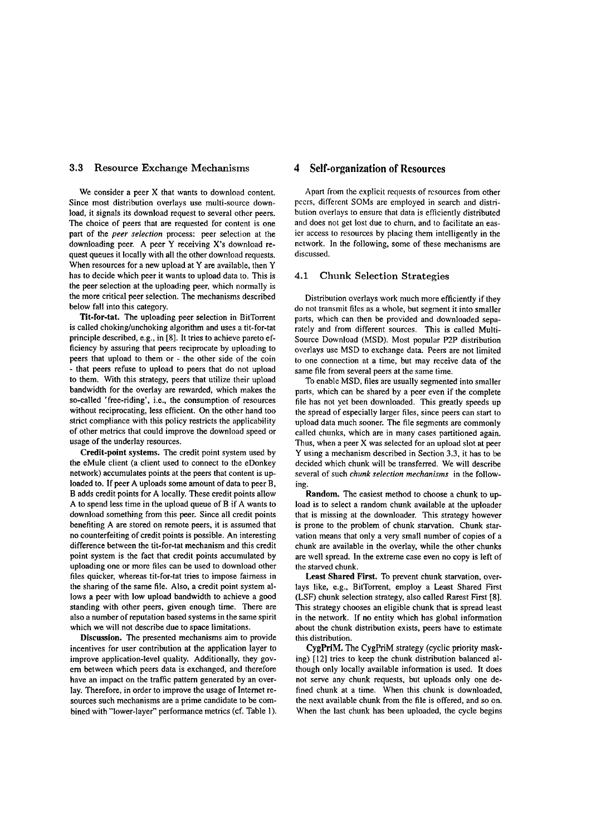# 3.3 Resource Exchange Mechanisms

We consider a peer X that wants to download content. Since most distribution overlays use multi-source download, it signals its download rcquest to several other peers. The choice of peers that are requested for content is one part of the *peer selection* process: peer selection at the downloading peer. A peer Y receiving X's download request queues it locally with all the other download requests. When resources for a new upload at Y are available, then Y has to decide which peer it wants to upload data to. This is the peer selection at the uploading peer, which normally is the more critical peer selection. The mechanisms described below fall into this category.

Tit-for-tat. The uploading peer selection in BitTorrent is called choking/unchoking algorithm and uses a tit-for-tat principle described, e.g., in [8]. It tries to achieve pareto efficiency by assuring that peers reciprocate by uploading to peers that upload to them or - the other side of the coin - that peers refuse to upload to peers that do not upload to them. With this strategy, peers that utilize their upload bandwidth for the overlay are rewarded, which makes the so-called 'free-riding', i.e., the consumption of resources without reciprocating, less efficient. On the other hand too strict compliance with this policy restricts the applicability of other metrics that could improve the download speed or usage of the underlay resources.

Credit-point systems. The credit point system used by the eMule client (a client used to connect to the eDonkey network) accumulates points at the peers that content is uploaded to. If peer A uploads some amount of data to peer B, B adds credit points for A locally. These credit points allow **A** to spend less time in the upload queue of B if A wants to download something from this peer. Since all credit points benefiting A are stored on remote peers, it is assumed that no counterfeiting of credit points is possible. An interesting difference between the tit-for-tat mechanism and this credit point system is the fact that credit points accumulated by uploading one or more files can be used to download other files quicker, whereas tit-for-tat tries to impose fairness in the sharing of the Same file. Also, a credit point system allows a peer with low upload bandwidth to achieve a good standing with other peers, given enough time. There are also a number of reputation based systems in the Same spirit which we will not describe due to space limitations.

Discussion. The presented mechanisms aim to provide incentives for user contribution at the application layer to improve application-level quality. Additionally, they govem between which peers data is exchanged, and therefore have an impact on the traffic pattem generated by an overlay. Therefore, in order to improve the usage of Internet resources such mechanisms are a prime candidate to be combined with "lower-layer" performance metrics (cf. Table 1).

# **4 Self-organization of Resources**

Apart from the explicit requests of resources from other pccrs, different SOMs are employed in search and distribuiion overlays to ensure that data is efficiently distributed and does not get lost due to churn, and to facilitate an easicr access to resources by placing them intelligently in the nctwork. In the following, some of these mechanisms are discussed.

# 4.1 Chunk Selection Strategies

Distribution overlays work much more efficiently if they do not transmit files as a whole, but segment it into smaller pnrts, which can then be provided and downloaded separatcly and from different sources. This is called Multi-Source Download (MSD). Most popular P2P distribution ovcrlays use MSD to exchange data. Peers are not limited to one connection at a time, but may receive data of the Same file from several peers at the Same time.

To enable MSD, files are usually segmented into smaller parts, which can be shared by a peer even if the complete file has not yet been downloaded. This greatly speeds up the spread of especially larger files, since peers can Start to upload data much sooner. The file segments are commonly called chunks, which are in many cases partitioned again. Thus, when a peer  $X$  was selected for an upload slot at peer Y using a mechanism described in Section 3.3, it has to be decided which chunk will be transfemd. We will describe scveral of such *chunk seleciion mechanisrns* in the following.

Random. The easiest method to choose a chunk to upload is to select a random chunk available at the uploader that is missing at the downloader. This strategy however is prone to the problem of chunk starvation. Chunk starvation means that only a very small number of copies of a chunk are available in the overlay, while the other chunks are well spread. In the extreme case even no copy is left of the starved chunk.

Least Shared First. To prevent chunk starvation, overlays like, e.g., BitTorrent, employ a Least Shared First (LSF) chunk selection strategy, also called Rarest First [8]. This strategy chooses an eligible chunk that is spread least in the network. If no entity which has global information about the chunk distribution exists, peers have to estimate this distribution.

**CygPriM.** The CygPriM strategy (cyclic priority masking) [I21 tries to keep the chunk distribution balanced although only locally available information is used. It does not serve any chunk requests, but uploads only one defined chunk at a time. When this chunk is downloaded, the next available chunk from the file is offered, and so On. When the last chunk has been uploaded, the cycle begins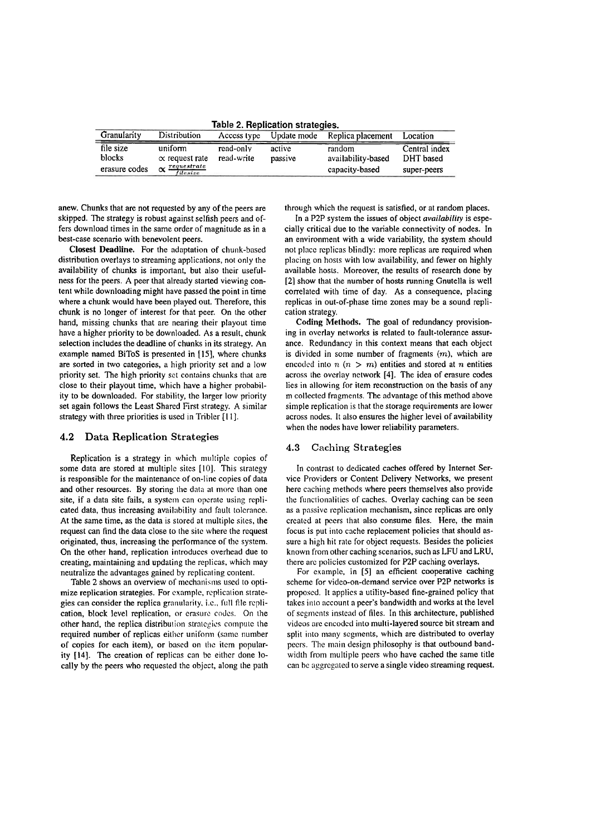| Table 2. Replication strategies. |                                        |             |             |                    |               |  |  |
|----------------------------------|----------------------------------------|-------------|-------------|--------------------|---------------|--|--|
| Granularity                      | Distribution                           | Access type | Update mode | Replica placement  | Location      |  |  |
| file size                        | uniform                                | read-only   | active      | random             | Central index |  |  |
| <b>blocks</b>                    | $\alpha$ request rate                  | read-write  | passive     | availability-based | DHT based     |  |  |
| erasure codes                    | $\propto \frac{requestrate}{filesize}$ |             |             | capacity-based     | super-peers   |  |  |

anew. Chunks that are not requested by any of the peers are skipped. The strategy is robust against selfish peers and offers download times in the Same order of magnitude as in a best-case scenario with benevolent peers.

Closest Deadline. For the adaptation of chunk-based distribution overlays to streaming applications, not only the availability of chunks is important, but also their usefulness for the peers. A peer that already started viewing content while downloading might have passed the point in time where a chunk would have been played out. Therefore, this chunk is no longer of interest for that peer. On the other hand, missing chunks that are nearing their playout time have a higher priority to be downloaded. As a result, chunk selection includes the deadline of chunks in **its** strategy. An example named BiToS is presented in [15], where chunks are sorted in two categories, a high priority set and a low priority set. The high priority set contains chunks that are close to their playout time, which have a higher probability to **be** downloaded. For stability, the larger low priority set again follows the Least Sharcd First strategy. **A** similar strategy with three priorities is used in Tribler [I I].

#### **4.2 Data Replication Strategies**

Replication is a strategy in which multiple copies of some data are stored at multiple sites [10]. This strategy is responsible for the maintenancc of on-line copies of data and other resources. By storing the data at more than one site, if a data site fails, a system can operate using replicated data, thus increasing availability and fault tolerance. At the same time, as the data is stored at multiple sites, the request can find the data close to the sitc where the rcquest originated, thus, increasing the performance of the system. On the other hand, replication introduccs overhead due to creating, maintaining and updating the replicas, which may neutralize the advantages gained by replicating content.

Table 2 shows an overview of mechanisms used to optimize replication strategies. For example, replication strategies can consider the replica granularity, i.e., full file replication, block level replication, or erasure codes. On the other hand, the replica distribution strategies compute the required number of replicas either uniform (same number of copies for each item), or based on the item popularity [14]. The creation of replicas can be either done locally by the peers who requested the object, along ihe path through which the request is satisfied, or at random places.

In a P2P system the issues of object *availability* is especially critical due to the variable connectivity of nodes. In an environment with a wide variability, the system should not placc rcplicas blindly: more replicas are required when placing on hosts with low availability, and fewer on highly available hosts. Moreover, the results of research done by [2] show that the number of hosts running Gnutella is well correlated wilh time of day. As a consequence, placing replicas in out-of-phase time zones may be a sound replication strategy.

**Coding** Methods. The goal of redundancy provisioning in overlay networks is related to fault-tolerance assurance. Redundancy in this context means that each object is divided in some number of fragments *(m).* which are encoded into  $n (n > m)$  entities and stored at n entities across the overlay network [4]. The idea of erasure codes lies in allowing for item reconstruction on the basis of any m collected fragments. The advantage of this method above simple replication is that the storage requirements are lower across nodes. It also ensures the higher level of availability when the nodes have lower reliability parameters.

#### **4.3 Caching Strategies**

In contrast to dedicated caches offered by Internet Service Providers or Content Delivery Networks, we present here caching methods where peers themselves also provide the functionalities of caches. Overlay caching can be seen as a passive replication mechanism, since replicas are only crcated at peers that also consume files. Here, the main focus is put into cache replacement policies that should assure **a** high hit rate for object requests. Besides the policies known from other caching scenarios, such as LFU and LRU, there arc policies customized for **P2P** caching overlays.

For example, in [5] an efficient cooperative caching scherne for video-on-demand service over P2P networks is proposcd. It applics a utility-based fine-grained policy that takes into account a peer's bandwidth and works at the level of segments instead of files. In this architecture, published vidcos arc cncodcd into multi-layered source bit stream and split into many segments, which are distributed to overlay pecrs. The main design philosophy is that outbound bandwidth from multiple peers who have cached the same title can be aggregated to serve a single video streaming request.